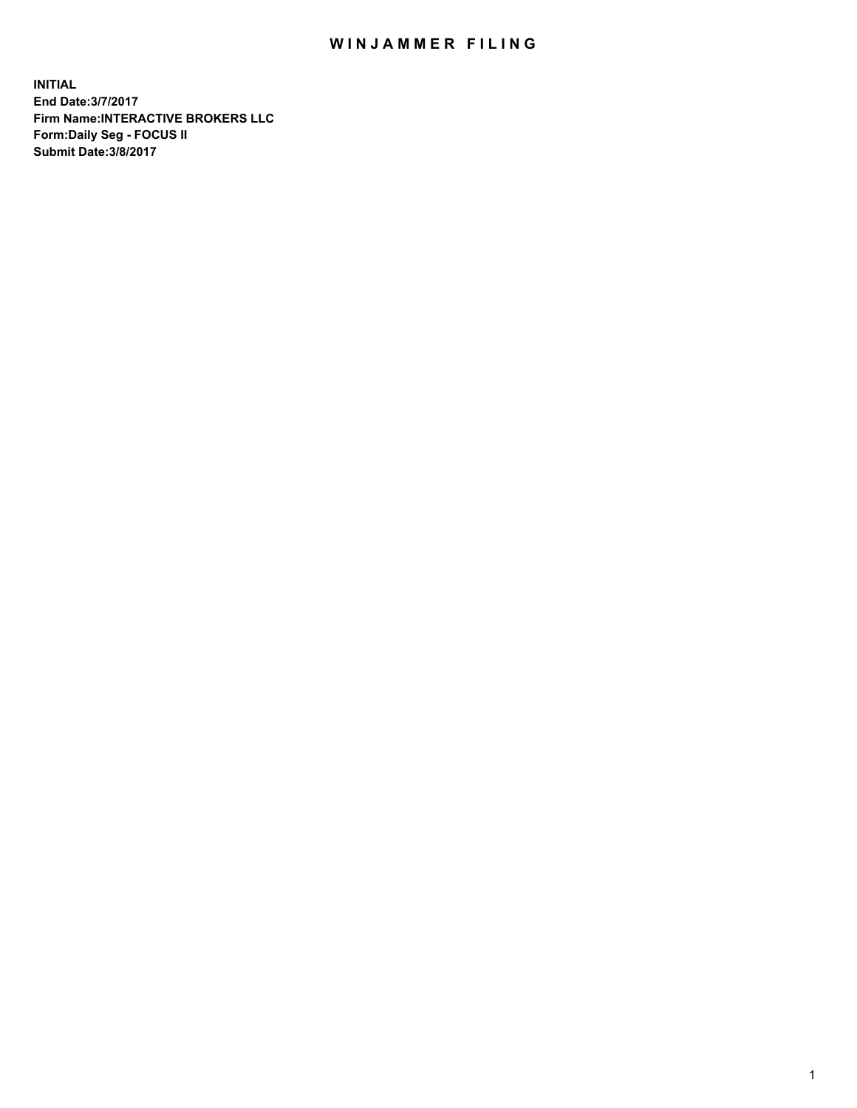## WIN JAMMER FILING

**INITIAL End Date:3/7/2017 Firm Name:INTERACTIVE BROKERS LLC Form:Daily Seg - FOCUS II Submit Date:3/8/2017**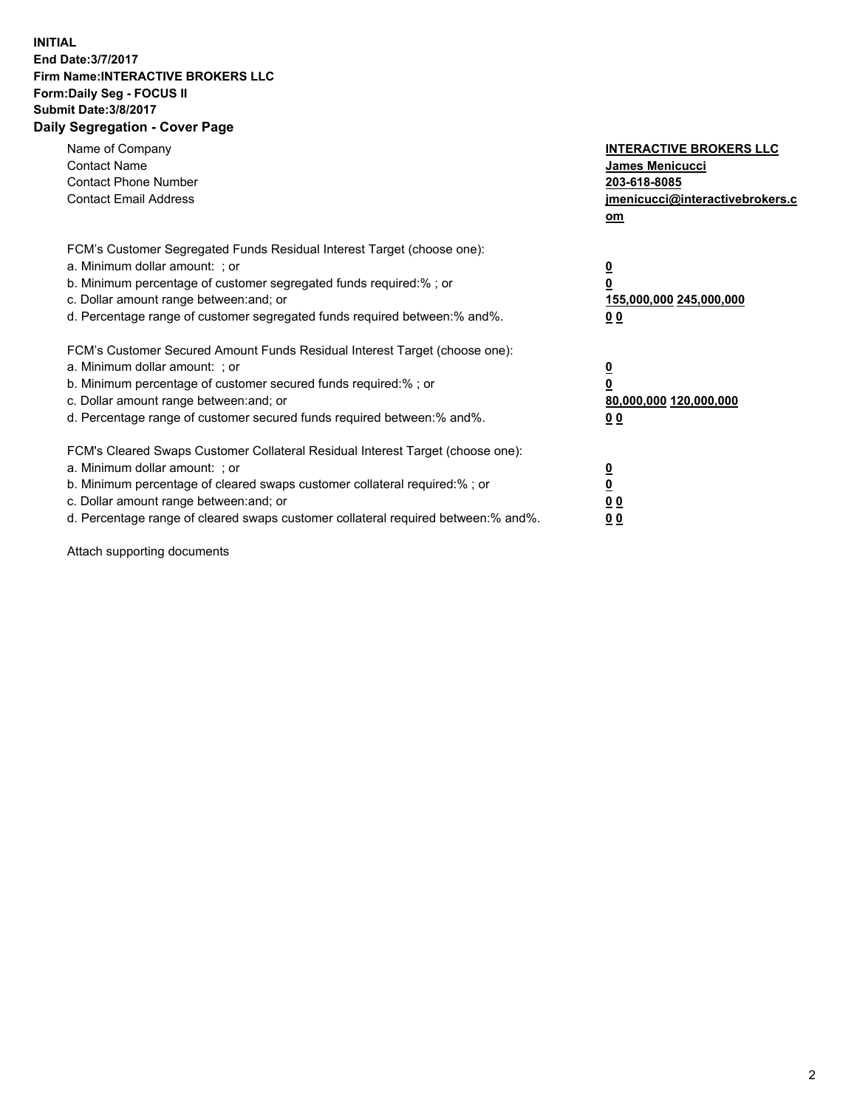## **INITIAL End Date:3/7/2017 Firm Name:INTERACTIVE BROKERS LLC Form:Daily Seg - FOCUS II Submit Date:3/8/2017 Daily Segregation - Cover Page**

| Name of Company<br><b>Contact Name</b><br><b>Contact Phone Number</b><br><b>Contact Email Address</b>                                                                                                                                                                                                                          | <b>INTERACTIVE BROKERS LLC</b><br>James Menicucci<br>203-618-8085<br>jmenicucci@interactivebrokers.c<br>om |
|--------------------------------------------------------------------------------------------------------------------------------------------------------------------------------------------------------------------------------------------------------------------------------------------------------------------------------|------------------------------------------------------------------------------------------------------------|
| FCM's Customer Segregated Funds Residual Interest Target (choose one):<br>a. Minimum dollar amount: ; or<br>b. Minimum percentage of customer segregated funds required:% ; or<br>c. Dollar amount range between: and; or<br>d. Percentage range of customer segregated funds required between:% and%.                         | $\overline{\mathbf{0}}$<br>0<br>155,000,000 245,000,000<br>0 <sub>0</sub>                                  |
| FCM's Customer Secured Amount Funds Residual Interest Target (choose one):<br>a. Minimum dollar amount: ; or<br>b. Minimum percentage of customer secured funds required:%; or<br>c. Dollar amount range between: and; or<br>d. Percentage range of customer secured funds required between: % and %.                          | $\overline{\mathbf{0}}$<br>0<br>80,000,000 120,000,000<br>0 <sub>0</sub>                                   |
| FCM's Cleared Swaps Customer Collateral Residual Interest Target (choose one):<br>a. Minimum dollar amount: ; or<br>b. Minimum percentage of cleared swaps customer collateral required:% ; or<br>c. Dollar amount range between: and; or<br>d. Percentage range of cleared swaps customer collateral required between:% and%. | $\overline{\mathbf{0}}$<br>$\underline{\mathbf{0}}$<br>0 <sub>0</sub><br>0 <sub>0</sub>                    |

Attach supporting documents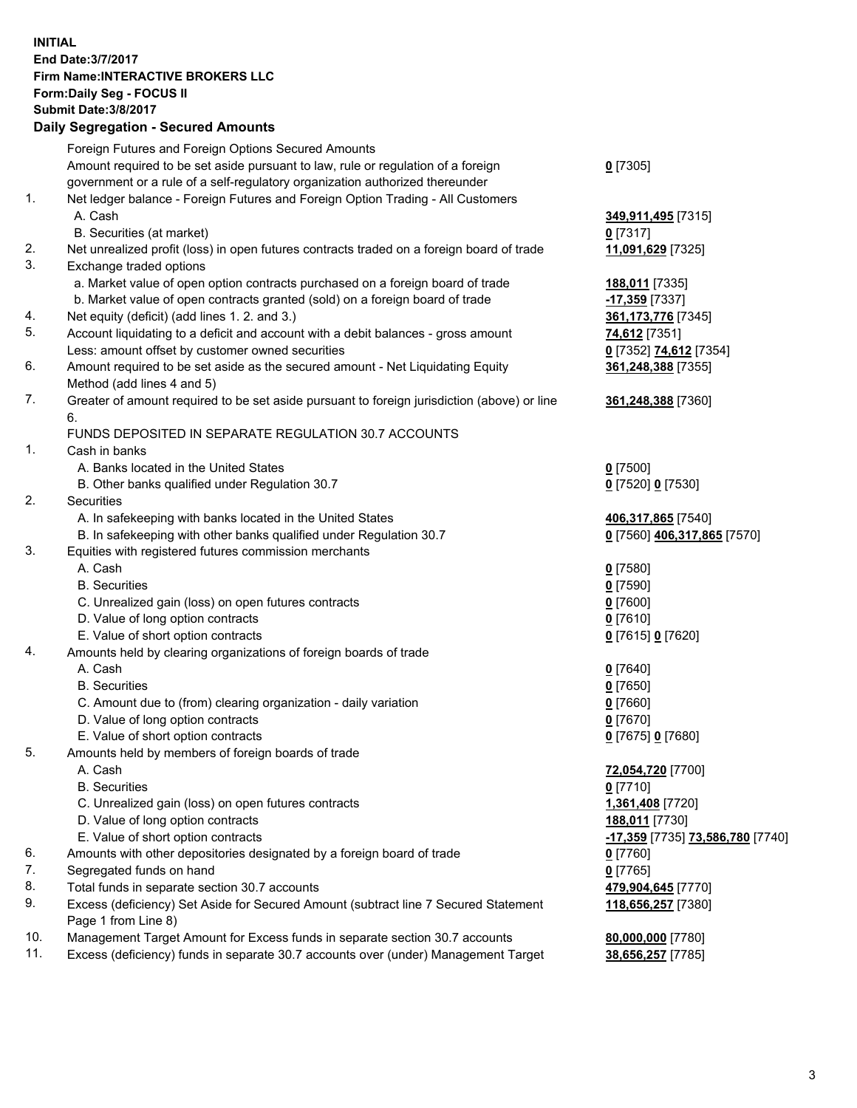## **INITIAL End Date:3/7/2017 Firm Name:INTERACTIVE BROKERS LLC Form:Daily Seg - FOCUS II Submit Date:3/8/2017 Daily Segregation - Secured Amounts**

|     | Foreign Futures and Foreign Options Secured Amounts                                         |                                  |
|-----|---------------------------------------------------------------------------------------------|----------------------------------|
|     | Amount required to be set aside pursuant to law, rule or regulation of a foreign            | $0$ [7305]                       |
|     | government or a rule of a self-regulatory organization authorized thereunder                |                                  |
| 1.  | Net ledger balance - Foreign Futures and Foreign Option Trading - All Customers             |                                  |
|     | A. Cash                                                                                     | 349,911,495 [7315]               |
|     | B. Securities (at market)                                                                   | 0 [7317]                         |
| 2.  | Net unrealized profit (loss) in open futures contracts traded on a foreign board of trade   | 11,091,629 [7325]                |
| 3.  | Exchange traded options                                                                     |                                  |
|     | a. Market value of open option contracts purchased on a foreign board of trade              | 188,011 [7335]                   |
|     | b. Market value of open contracts granted (sold) on a foreign board of trade                | -17,359 [7337]                   |
| 4.  | Net equity (deficit) (add lines 1.2. and 3.)                                                | 361, 173, 776 [7345]             |
| 5.  | Account liquidating to a deficit and account with a debit balances - gross amount           |                                  |
|     |                                                                                             | 74,612 [7351]                    |
|     | Less: amount offset by customer owned securities                                            | 0 [7352] 74,612 [7354]           |
| 6.  | Amount required to be set aside as the secured amount - Net Liquidating Equity              | 361,248,388 [7355]               |
|     | Method (add lines 4 and 5)                                                                  |                                  |
| 7.  | Greater of amount required to be set aside pursuant to foreign jurisdiction (above) or line | 361,248,388 [7360]               |
|     | 6.                                                                                          |                                  |
|     | FUNDS DEPOSITED IN SEPARATE REGULATION 30.7 ACCOUNTS                                        |                                  |
| 1.  | Cash in banks                                                                               |                                  |
|     | A. Banks located in the United States                                                       | $0$ [7500]                       |
|     | B. Other banks qualified under Regulation 30.7                                              | 0 [7520] 0 [7530]                |
| 2.  | Securities                                                                                  |                                  |
|     | A. In safekeeping with banks located in the United States                                   | 406,317,865 [7540]               |
|     | B. In safekeeping with other banks qualified under Regulation 30.7                          | 0 [7560] 406,317,865 [7570]      |
| 3.  | Equities with registered futures commission merchants                                       |                                  |
|     | A. Cash                                                                                     | $0$ [7580]                       |
|     | <b>B.</b> Securities                                                                        | $0$ [7590]                       |
|     | C. Unrealized gain (loss) on open futures contracts                                         | $0$ [7600]                       |
|     | D. Value of long option contracts                                                           | $0$ [7610]                       |
|     | E. Value of short option contracts                                                          | 0 [7615] 0 [7620]                |
| 4.  | Amounts held by clearing organizations of foreign boards of trade                           |                                  |
|     | A. Cash                                                                                     | $0$ [7640]                       |
|     | <b>B.</b> Securities                                                                        | $0$ [7650]                       |
|     | C. Amount due to (from) clearing organization - daily variation                             | $0$ [7660]                       |
|     | D. Value of long option contracts                                                           | $0$ [7670]                       |
|     | E. Value of short option contracts                                                          | 0 [7675] 0 [7680]                |
| 5.  | Amounts held by members of foreign boards of trade                                          |                                  |
|     | A. Cash                                                                                     | 72,054,720 [7700]                |
|     | <b>B.</b> Securities                                                                        | $0$ [7710]                       |
|     | C. Unrealized gain (loss) on open futures contracts                                         | 1,361,408 [7720]                 |
|     |                                                                                             |                                  |
|     | D. Value of long option contracts                                                           | 188,011 [7730]                   |
|     | E. Value of short option contracts                                                          | -17,359 [7735] 73,586,780 [7740] |
| 6.  | Amounts with other depositories designated by a foreign board of trade                      | $0$ [7760]                       |
| 7.  | Segregated funds on hand                                                                    | $0$ [7765]                       |
| 8.  | Total funds in separate section 30.7 accounts                                               | 479,904,645 [7770]               |
| 9.  | Excess (deficiency) Set Aside for Secured Amount (subtract line 7 Secured Statement         | 118,656,257 [7380]               |
|     | Page 1 from Line 8)                                                                         |                                  |
| 10. | Management Target Amount for Excess funds in separate section 30.7 accounts                 | 80,000,000 [7780]                |
| 11. | Excess (deficiency) funds in separate 30.7 accounts over (under) Management Target          | 38,656,257 [7785]                |
|     |                                                                                             |                                  |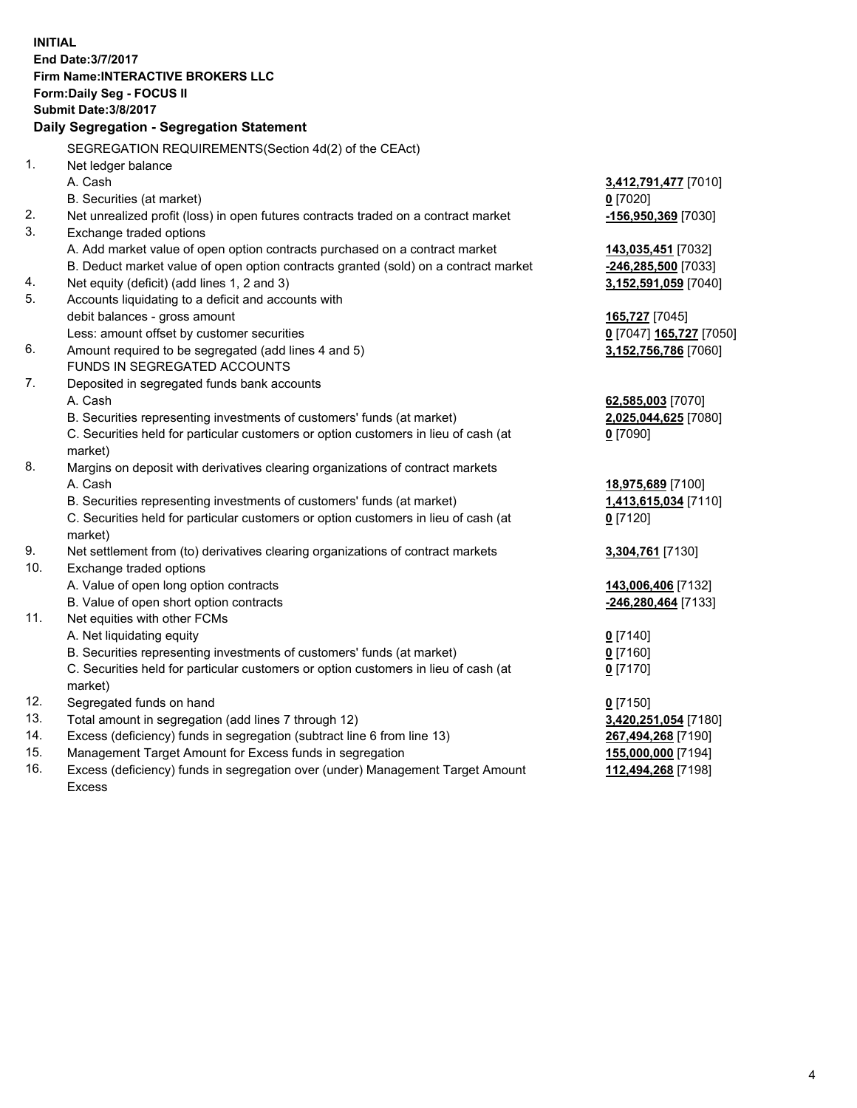**INITIAL End Date:3/7/2017 Firm Name:INTERACTIVE BROKERS LLC Form:Daily Seg - FOCUS II Submit Date:3/8/2017 Daily Segregation - Segregation Statement** SEGREGATION REQUIREMENTS(Section 4d(2) of the CEAct) 1. Net ledger balance A. Cash **3,412,791,477** [7010] B. Securities (at market) **0** [7020] 2. Net unrealized profit (loss) in open futures contracts traded on a contract market **-156,950,369** [7030] 3. Exchange traded options A. Add market value of open option contracts purchased on a contract market **143,035,451** [7032] B. Deduct market value of open option contracts granted (sold) on a contract market **-246,285,500** [7033] 4. Net equity (deficit) (add lines 1, 2 and 3) **3,152,591,059** [7040] 5. Accounts liquidating to a deficit and accounts with debit balances - gross amount **165,727** [7045] Less: amount offset by customer securities **0** [7047] **165,727** [7050] 6. Amount required to be segregated (add lines 4 and 5) **3,152,756,786** [7060] FUNDS IN SEGREGATED ACCOUNTS 7. Deposited in segregated funds bank accounts A. Cash **62,585,003** [7070] B. Securities representing investments of customers' funds (at market) **2,025,044,625** [7080] C. Securities held for particular customers or option customers in lieu of cash (at market) **0** [7090] 8. Margins on deposit with derivatives clearing organizations of contract markets A. Cash **18,975,689** [7100] B. Securities representing investments of customers' funds (at market) **1,413,615,034** [7110] C. Securities held for particular customers or option customers in lieu of cash (at market) **0** [7120] 9. Net settlement from (to) derivatives clearing organizations of contract markets **3,304,761** [7130] 10. Exchange traded options A. Value of open long option contracts **143,006,406** [7132] B. Value of open short option contracts **-246,280,464** [7133] 11. Net equities with other FCMs A. Net liquidating equity **0** [7140] B. Securities representing investments of customers' funds (at market) **0** [7160] C. Securities held for particular customers or option customers in lieu of cash (at market) **0** [7170] 12. Segregated funds on hand **0** [7150] 13. Total amount in segregation (add lines 7 through 12) **3,420,251,054** [7180] 14. Excess (deficiency) funds in segregation (subtract line 6 from line 13) **267,494,268** [7190] 15. Management Target Amount for Excess funds in segregation **155,000,000** [7194] **112,494,268** [7198]

16. Excess (deficiency) funds in segregation over (under) Management Target Amount Excess